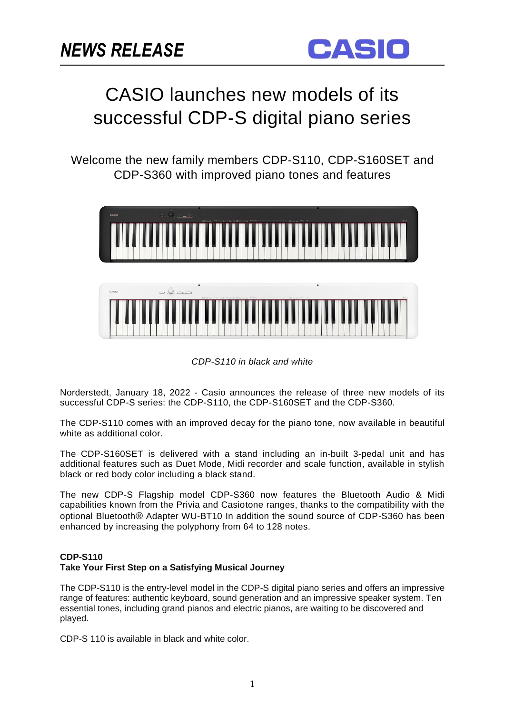

# CASIO launches new models of its successful CDP-S digital piano series

Welcome the new family members CDP-S110, CDP-S160SET and CDP-S360 with improved piano tones and features



*CDP-S110 in black and white*

Norderstedt, January 18, 2022 - Casio announces the release of three new models of its successful CDP-S series: the CDP-S110, the CDP-S160SET and the CDP-S360.

The CDP-S110 comes with an improved decay for the piano tone, now available in beautiful white as additional color.

The CDP-S160SET is delivered with a stand including an in-built 3-pedal unit and has additional features such as Duet Mode, Midi recorder and scale function, available in stylish black or red body color including a black stand.

The new CDP-S Flagship model CDP-S360 now features the Bluetooth Audio & Midi capabilities known from the Privia and Casiotone ranges, thanks to the compatibility with the optional Bluetooth® Adapter WU-BT10 In addition the sound source of CDP-S360 has been enhanced by increasing the polyphony from 64 to 128 notes.

# **CDP-S110**

# **Take Your First Step on a Satisfying Musical Journey**

The CDP-S110 is the entry-level model in the CDP-S digital piano series and offers an impressive range of features: authentic keyboard, sound generation and an impressive speaker system. Ten essential tones, including grand pianos and electric pianos, are waiting to be discovered and played.

CDP-S 110 is available in black and white color.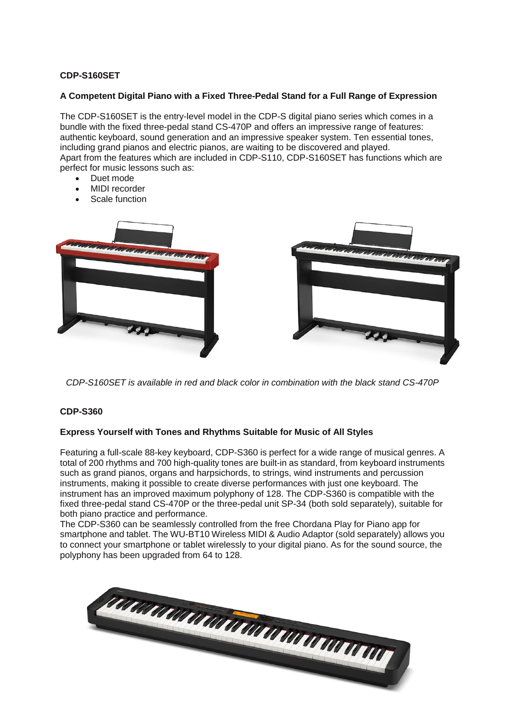# **CDP-S160SET**

### **A Competent Digital Piano with a Fixed Three-Pedal Stand for a Full Range of Expression**

The CDP-S160SET is the entry-level model in the CDP-S digital piano series which comes in a bundle with the fixed three-pedal stand CS-470P and offers an impressive range of features: authentic keyboard, sound generation and an impressive speaker system. Ten essential tones, including grand pianos and electric pianos, are waiting to be discovered and played. Apart from the features which are included in CDP-S110, CDP-S160SET has functions which are perfect for music lessons such as:

- Duet mode
- MIDI recorder
- Scale function



*CDP-S160SET is available in red and black color in combination with the black stand CS-470P*

#### **CDP-S360**

#### **Express Yourself with Tones and Rhythms Suitable for Music of All Styles**

Featuring a full-scale 88-key keyboard, CDP-S360 is perfect for a wide range of musical genres. A total of 200 rhythms and 700 high-quality tones are built-in as standard, from keyboard instruments such as grand pianos, organs and harpsichords, to strings, wind instruments and percussion instruments, making it possible to create diverse performances with just one keyboard. The instrument has an improved maximum polyphony of 128. The CDP-S360 is compatible with the fixed three-pedal stand CS-470P or the three-pedal unit SP-34 (both sold separately), suitable for both piano practice and performance.

The CDP-S360 can be seamlessly controlled from the free Chordana Play for Piano app for smartphone and tablet. The WU-BT10 Wireless MIDI & Audio Adaptor (sold separately) allows you to connect your smartphone or tablet wirelessly to your digital piano. As for the sound source, the polyphony has been upgraded from 64 to 128.

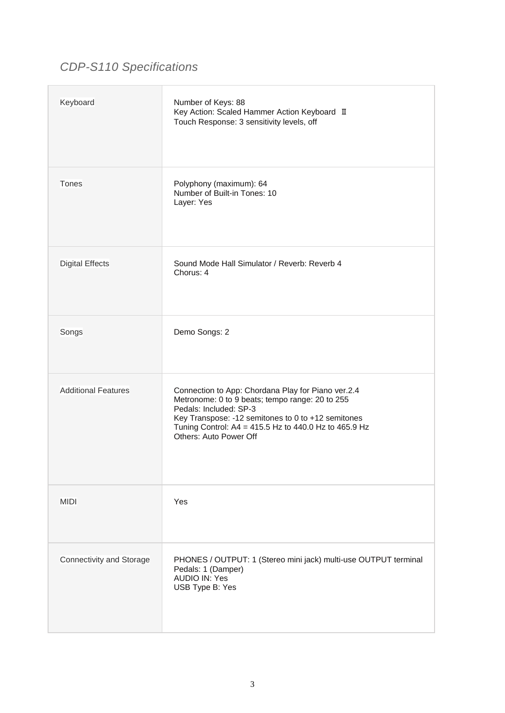# *CDP-S110 Specifications*

| Keyboard                   | Number of Keys: 88<br>Key Action: Scaled Hammer Action Keyboard II<br>Touch Response: 3 sensitivity levels, off                                                                                                                                                          |
|----------------------------|--------------------------------------------------------------------------------------------------------------------------------------------------------------------------------------------------------------------------------------------------------------------------|
| Tones                      | Polyphony (maximum): 64<br>Number of Built-in Tones: 10<br>Layer: Yes                                                                                                                                                                                                    |
| <b>Digital Effects</b>     | Sound Mode Hall Simulator / Reverb: Reverb 4<br>Chorus: 4                                                                                                                                                                                                                |
| Songs                      | Demo Songs: 2                                                                                                                                                                                                                                                            |
| <b>Additional Features</b> | Connection to App: Chordana Play for Piano ver.2.4<br>Metronome: 0 to 9 beats; tempo range: 20 to 255<br>Pedals: Included: SP-3<br>Key Transpose: -12 semitones to 0 to +12 semitones<br>Tuning Control: A4 = 415.5 Hz to 440.0 Hz to 465.9 Hz<br>Others: Auto Power Off |
| <b>MIDI</b>                | Yes                                                                                                                                                                                                                                                                      |
| Connectivity and Storage   | PHONES / OUTPUT: 1 (Stereo mini jack) multi-use OUTPUT terminal<br>Pedals: 1 (Damper)<br><b>AUDIO IN: Yes</b><br>USB Type B: Yes                                                                                                                                         |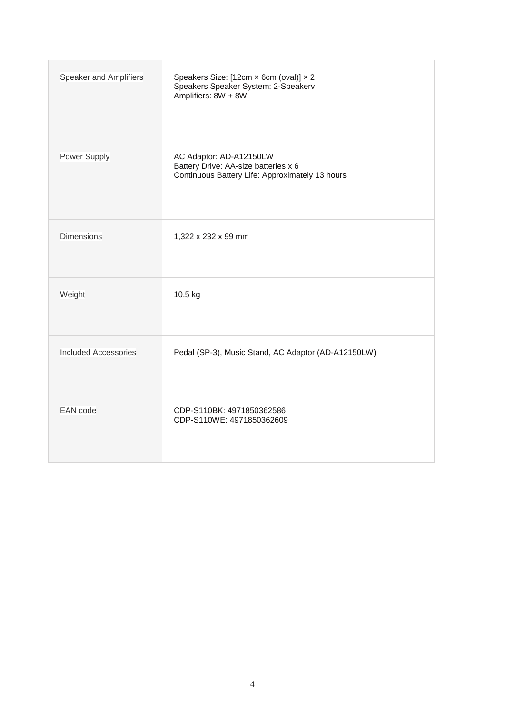| Speaker and Amplifiers      | Speakers Size: [12cm x 6cm (oval)] x 2<br>Speakers Speaker System: 2-Speakerv<br>Amplifiers: 8W + 8W               |
|-----------------------------|--------------------------------------------------------------------------------------------------------------------|
| Power Supply                | AC Adaptor: AD-A12150LW<br>Battery Drive: AA-size batteries x 6<br>Continuous Battery Life: Approximately 13 hours |
| <b>Dimensions</b>           | 1,322 x 232 x 99 mm                                                                                                |
| Weight                      | 10.5 kg                                                                                                            |
| <b>Included Accessories</b> | Pedal (SP-3), Music Stand, AC Adaptor (AD-A12150LW)                                                                |
| <b>EAN</b> code             | CDP-S110BK: 4971850362586<br>CDP-S110WE: 4971850362609                                                             |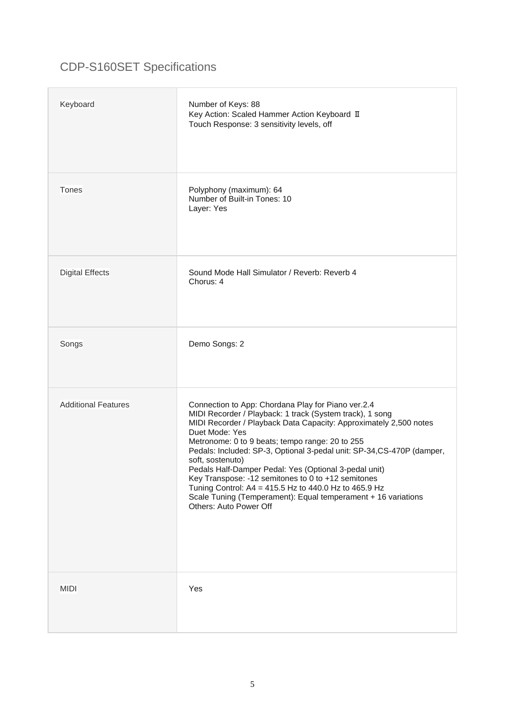# CDP-S160SET Specifications

| Keyboard                   | Number of Keys: 88<br>Key Action: Scaled Hammer Action Keyboard II<br>Touch Response: 3 sensitivity levels, off                                                                                                                                                                                                                                                                                                                                                                                                                                                                                                           |
|----------------------------|---------------------------------------------------------------------------------------------------------------------------------------------------------------------------------------------------------------------------------------------------------------------------------------------------------------------------------------------------------------------------------------------------------------------------------------------------------------------------------------------------------------------------------------------------------------------------------------------------------------------------|
| Tones                      | Polyphony (maximum): 64<br>Number of Built-in Tones: 10<br>Layer: Yes                                                                                                                                                                                                                                                                                                                                                                                                                                                                                                                                                     |
| <b>Digital Effects</b>     | Sound Mode Hall Simulator / Reverb: Reverb 4<br>Chorus: 4                                                                                                                                                                                                                                                                                                                                                                                                                                                                                                                                                                 |
| Songs                      | Demo Songs: 2                                                                                                                                                                                                                                                                                                                                                                                                                                                                                                                                                                                                             |
| <b>Additional Features</b> | Connection to App: Chordana Play for Piano ver.2.4<br>MIDI Recorder / Playback: 1 track (System track), 1 song<br>MIDI Recorder / Playback Data Capacity: Approximately 2,500 notes<br>Duet Mode: Yes<br>Metronome: 0 to 9 beats; tempo range: 20 to 255<br>Pedals: Included: SP-3, Optional 3-pedal unit: SP-34, CS-470P (damper,<br>soft, sostenuto)<br>Pedals Half-Damper Pedal: Yes (Optional 3-pedal unit)<br>Key Transpose: -12 semitones to 0 to +12 semitones<br>Tuning Control: A4 = 415.5 Hz to 440.0 Hz to 465.9 Hz<br>Scale Tuning (Temperament): Equal temperament + 16 variations<br>Others: Auto Power Off |
| <b>MIDI</b>                | Yes                                                                                                                                                                                                                                                                                                                                                                                                                                                                                                                                                                                                                       |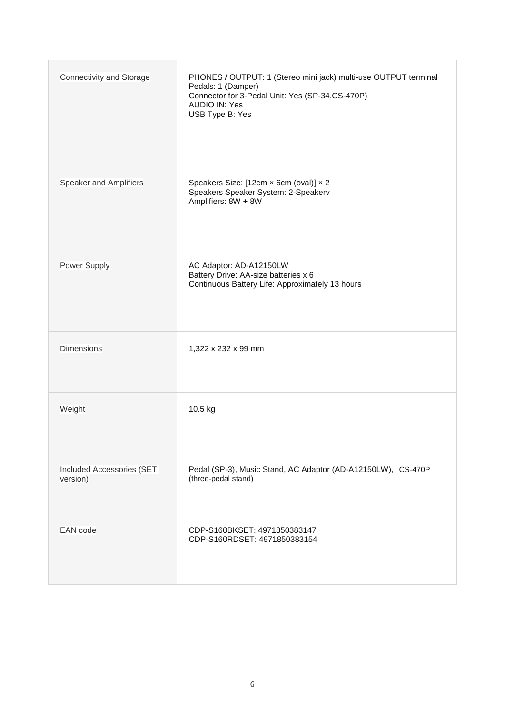| Connectivity and Storage              | PHONES / OUTPUT: 1 (Stereo mini jack) multi-use OUTPUT terminal<br>Pedals: 1 (Damper)<br>Connector for 3-Pedal Unit: Yes (SP-34,CS-470P)<br><b>AUDIO IN: Yes</b><br>USB Type B: Yes |
|---------------------------------------|-------------------------------------------------------------------------------------------------------------------------------------------------------------------------------------|
| Speaker and Amplifiers                | Speakers Size: [12cm x 6cm (oval)] x 2<br>Speakers Speaker System: 2-Speakerv<br>Amplifiers: 8W + 8W                                                                                |
| Power Supply                          | AC Adaptor: AD-A12150LW<br>Battery Drive: AA-size batteries x 6<br>Continuous Battery Life: Approximately 13 hours                                                                  |
| <b>Dimensions</b>                     | 1,322 x 232 x 99 mm                                                                                                                                                                 |
| Weight                                | 10.5 kg                                                                                                                                                                             |
| Included Accessories (SET<br>version) | Pedal (SP-3), Music Stand, AC Adaptor (AD-A12150LW), CS-470P<br>(three-pedal stand)                                                                                                 |
| <b>EAN</b> code                       | CDP-S160BKSET: 4971850383147<br>CDP-S160RDSET: 4971850383154                                                                                                                        |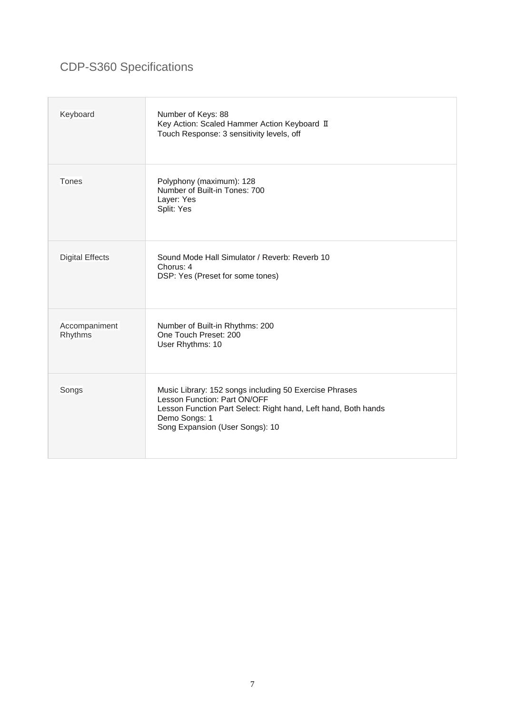# CDP-S360 Specifications

| Keyboard                 | Number of Keys: 88<br>Key Action: Scaled Hammer Action Keyboard II<br>Touch Response: 3 sensitivity levels, off                                                                                              |
|--------------------------|--------------------------------------------------------------------------------------------------------------------------------------------------------------------------------------------------------------|
| Tones                    | Polyphony (maximum): 128<br>Number of Built-in Tones: 700<br>Layer: Yes<br>Split: Yes                                                                                                                        |
| <b>Digital Effects</b>   | Sound Mode Hall Simulator / Reverb: Reverb 10<br>Chorus: 4<br>DSP: Yes (Preset for some tones)                                                                                                               |
| Accompaniment<br>Rhythms | Number of Built-in Rhythms: 200<br>One Touch Preset: 200<br>User Rhythms: 10                                                                                                                                 |
| Songs                    | Music Library: 152 songs including 50 Exercise Phrases<br>Lesson Function: Part ON/OFF<br>Lesson Function Part Select: Right hand, Left hand, Both hands<br>Demo Songs: 1<br>Song Expansion (User Songs): 10 |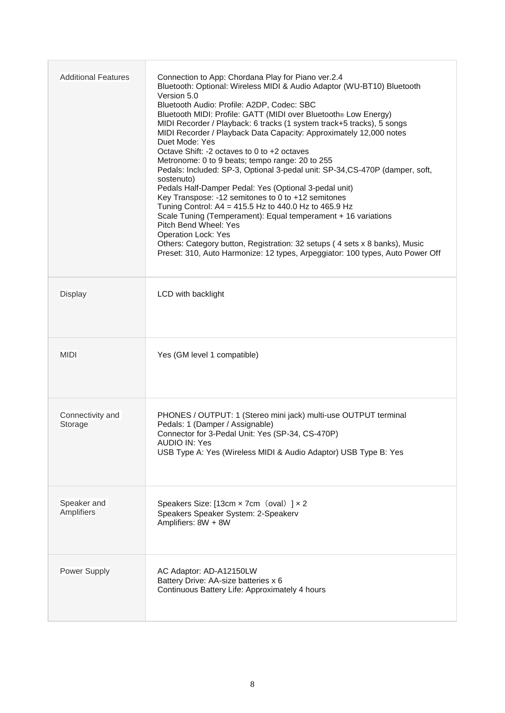| <b>Additional Features</b>  | Connection to App: Chordana Play for Piano ver.2.4<br>Bluetooth: Optional: Wireless MIDI & Audio Adaptor (WU-BT10) Bluetooth<br>Version 5.0<br>Bluetooth Audio: Profile: A2DP, Codec: SBC<br>Bluetooth MIDI: Profile: GATT (MIDI over Bluetooth® Low Energy)<br>MIDI Recorder / Playback: 6 tracks (1 system track+5 tracks), 5 songs<br>MIDI Recorder / Playback Data Capacity: Approximately 12,000 notes<br>Duet Mode: Yes<br>Octave Shift: -2 octaves to 0 to +2 octaves<br>Metronome: 0 to 9 beats; tempo range: 20 to 255<br>Pedals: Included: SP-3, Optional 3-pedal unit: SP-34, CS-470P (damper, soft,<br>sostenuto)<br>Pedals Half-Damper Pedal: Yes (Optional 3-pedal unit)<br>Key Transpose: -12 semitones to 0 to +12 semitones<br>Tuning Control: A4 = 415.5 Hz to 440.0 Hz to 465.9 Hz<br>Scale Tuning (Temperament): Equal temperament + 16 variations<br>Pitch Bend Wheel: Yes<br><b>Operation Lock: Yes</b><br>Others: Category button, Registration: 32 setups (4 sets x 8 banks), Music<br>Preset: 310, Auto Harmonize: 12 types, Arpeggiator: 100 types, Auto Power Off |
|-----------------------------|----------------------------------------------------------------------------------------------------------------------------------------------------------------------------------------------------------------------------------------------------------------------------------------------------------------------------------------------------------------------------------------------------------------------------------------------------------------------------------------------------------------------------------------------------------------------------------------------------------------------------------------------------------------------------------------------------------------------------------------------------------------------------------------------------------------------------------------------------------------------------------------------------------------------------------------------------------------------------------------------------------------------------------------------------------------------------------------------|
| <b>Display</b>              | LCD with backlight                                                                                                                                                                                                                                                                                                                                                                                                                                                                                                                                                                                                                                                                                                                                                                                                                                                                                                                                                                                                                                                                           |
| <b>MIDI</b>                 | Yes (GM level 1 compatible)                                                                                                                                                                                                                                                                                                                                                                                                                                                                                                                                                                                                                                                                                                                                                                                                                                                                                                                                                                                                                                                                  |
| Connectivity and<br>Storage | PHONES / OUTPUT: 1 (Stereo mini jack) multi-use OUTPUT terminal<br>Pedals: 1 (Damper / Assignable)<br>Connector for 3-Pedal Unit: Yes (SP-34, CS-470P)<br>AUDIO IN: Yes<br>USB Type A: Yes (Wireless MIDI & Audio Adaptor) USB Type B: Yes                                                                                                                                                                                                                                                                                                                                                                                                                                                                                                                                                                                                                                                                                                                                                                                                                                                   |
| Speaker and<br>Amplifiers   | Speakers Size: [13cm $\times$ 7cm (oval) ] $\times$ 2<br>Speakers Speaker System: 2-Speakerv<br>Amplifiers: 8W + 8W                                                                                                                                                                                                                                                                                                                                                                                                                                                                                                                                                                                                                                                                                                                                                                                                                                                                                                                                                                          |
| <b>Power Supply</b>         | AC Adaptor: AD-A12150LW<br>Battery Drive: AA-size batteries x 6<br>Continuous Battery Life: Approximately 4 hours                                                                                                                                                                                                                                                                                                                                                                                                                                                                                                                                                                                                                                                                                                                                                                                                                                                                                                                                                                            |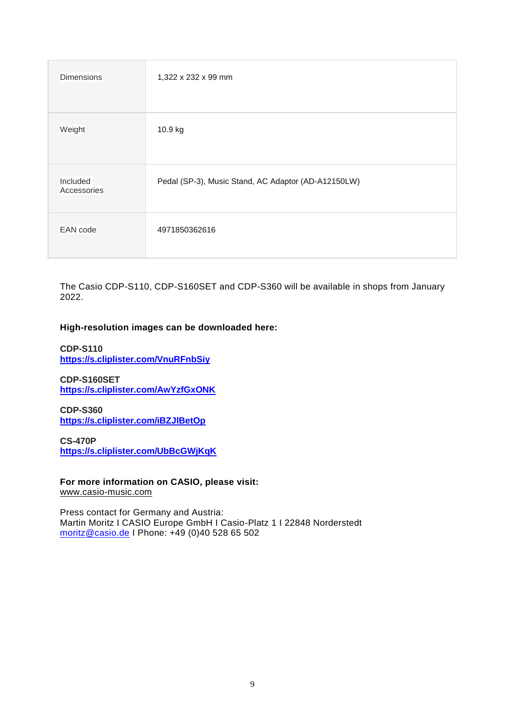| <b>Dimensions</b>       | 1,322 x 232 x 99 mm                                 |
|-------------------------|-----------------------------------------------------|
| Weight                  | 10.9 kg                                             |
| Included<br>Accessories | Pedal (SP-3), Music Stand, AC Adaptor (AD-A12150LW) |
| EAN code                | 4971850362616                                       |

The Casio CDP-S110, CDP-S160SET and CDP-S360 will be available in shops from January 2022.

# **High-resolution images can be downloaded here:**

**CDP-S110 <https://s.cliplister.com/VnuRFnbSiy>**

**CDP-S160SET <https://s.cliplister.com/AwYzfGxONK>**

**CDP-S360 <https://s.cliplister.com/iBZJlBetOp>**

**CS-470P <https://s.cliplister.com/UbBcGWjKqK>**

**For more information on CASIO, please visit:** [www.casio-music.com](http://www.casio-music.com/)

Press contact for Germany and Austria: Martin Moritz I CASIO Europe GmbH I Casio-Platz 1 I 22848 Norderstedt [moritz@casio.de](../../../doering/Downloads/moritz@casio.de) I Phone: +49 (0)40 528 65 502